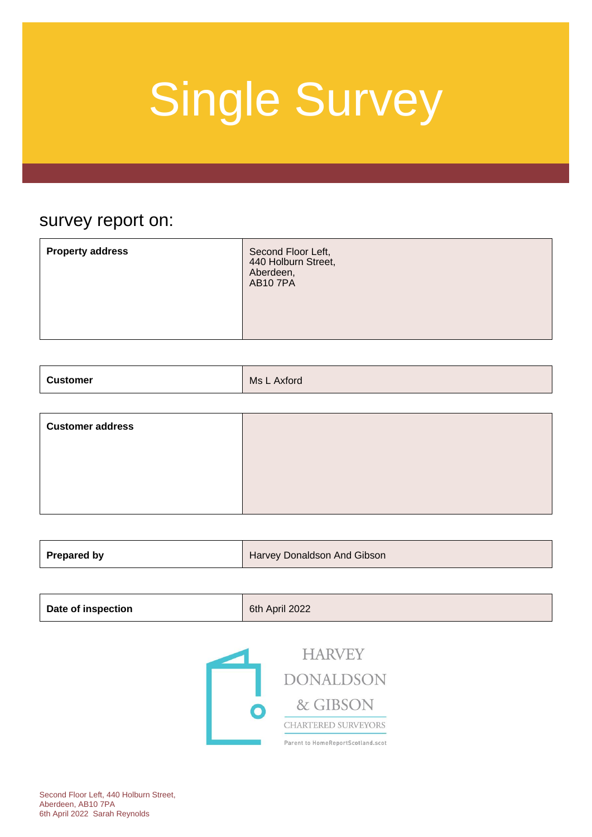### survey report on:

| <b>Property address</b> | Second Floor Left,<br>440 Holburn Street,<br>Aberdeen,<br><b>AB107PA</b> |
|-------------------------|--------------------------------------------------------------------------|
|                         |                                                                          |
|                         |                                                                          |

| <b>Customer</b><br>Ms L<br><b>Axford</b> |
|------------------------------------------|
|------------------------------------------|

| <b>Customer address</b> |  |
|-------------------------|--|
|                         |  |
|                         |  |
|                         |  |

| <b>Prepared by</b><br>Harvey Donaldson And Gibson |
|---------------------------------------------------|
|---------------------------------------------------|

| Date of inspection | 6th April 2022 |
|--------------------|----------------|
|                    |                |

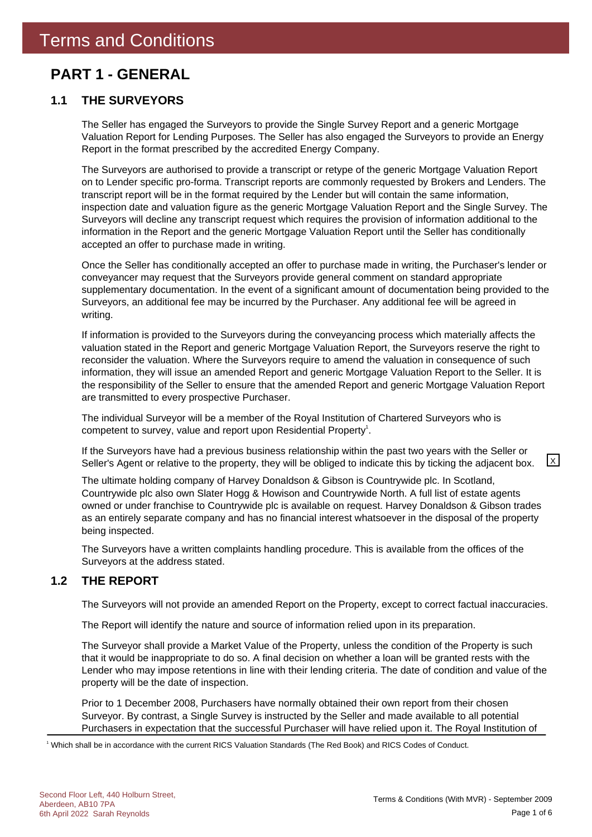### **PART 1 - GENERAL**

### **1.1 THE SURVEYORS**

The Seller has engaged the Surveyors to provide the Single Survey Report and a generic Mortgage Valuation Report for Lending Purposes. The Seller has also engaged the Surveyors to provide an Energy Report in the format prescribed by the accredited Energy Company.

The Surveyors are authorised to provide a transcript or retype of the generic Mortgage Valuation Report on to Lender specific pro-forma. Transcript reports are commonly requested by Brokers and Lenders. The transcript report will be in the format required by the Lender but will contain the same information, inspection date and valuation figure as the generic Mortgage Valuation Report and the Single Survey. The Surveyors will decline any transcript request which requires the provision of information additional to the information in the Report and the generic Mortgage Valuation Report until the Seller has conditionally accepted an offer to purchase made in writing.

Once the Seller has conditionally accepted an offer to purchase made in writing, the Purchaser's lender or conveyancer may request that the Surveyors provide general comment on standard appropriate supplementary documentation. In the event of a significant amount of documentation being provided to the Surveyors, an additional fee may be incurred by the Purchaser. Any additional fee will be agreed in writing.

If information is provided to the Surveyors during the conveyancing process which materially affects the valuation stated in the Report and generic Mortgage Valuation Report, the Surveyors reserve the right to reconsider the valuation. Where the Surveyors require to amend the valuation in consequence of such information, they will issue an amended Report and generic Mortgage Valuation Report to the Seller. It is the responsibility of the Seller to ensure that the amended Report and generic Mortgage Valuation Report are transmitted to every prospective Purchaser.

The individual Surveyor will be a member of the Royal Institution of Chartered Surveyors who is competent to survey, value and report upon Residential Property<sup>1</sup>.

If the Surveyors have had a previous business relationship within the past two years with the Seller or Seller's Agent or relative to the property, they will be obliged to indicate this by ticking the adjacent box.  $\boxed{\times}$ 

The ultimate holding company of Harvey Donaldson & Gibson is Countrywide plc. In Scotland, Countrywide plc also own Slater Hogg & Howison and Countrywide North. A full list of estate agents owned or under franchise to Countrywide plc is available on request. Harvey Donaldson & Gibson trades as an entirely separate company and has no financial interest whatsoever in the disposal of the property being inspected.

The Surveyors have a written complaints handling procedure. This is available from the offices of the Surveyors at the address stated.

### **1.2 THE REPORT**

The Surveyors will not provide an amended Report on the Property, except to correct factual inaccuracies.

The Report will identify the nature and source of information relied upon in its preparation.

The Surveyor shall provide a Market Value of the Property, unless the condition of the Property is such that it would be inappropriate to do so. A final decision on whether a loan will be granted rests with the Lender who may impose retentions in line with their lending criteria. The date of condition and value of the property will be the date of inspection.

Prior to 1 December 2008, Purchasers have normally obtained their own report from their chosen Surveyor. By contrast, a Single Survey is instructed by the Seller and made available to all potential Purchasers in expectation that the successful Purchaser will have relied upon it. The Royal Institution of

1 Which shall be in accordance with the current RICS Valuation Standards (The Red Book) and RICS Codes of Conduct.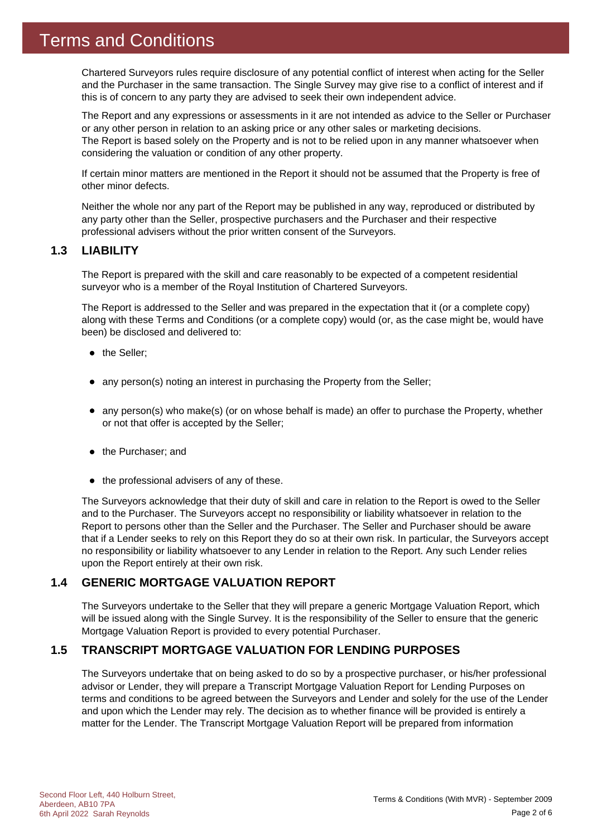Chartered Surveyors rules require disclosure of any potential conflict of interest when acting for the Seller and the Purchaser in the same transaction. The Single Survey may give rise to a conflict of interest and if this is of concern to any party they are advised to seek their own independent advice.

The Report and any expressions or assessments in it are not intended as advice to the Seller or Purchaser or any other person in relation to an asking price or any other sales or marketing decisions. The Report is based solely on the Property and is not to be relied upon in any manner whatsoever when considering the valuation or condition of any other property.

If certain minor matters are mentioned in the Report it should not be assumed that the Property is free of other minor defects.

Neither the whole nor any part of the Report may be published in any way, reproduced or distributed by any party other than the Seller, prospective purchasers and the Purchaser and their respective professional advisers without the prior written consent of the Surveyors.

### **1.3 LIABILITY**

The Report is prepared with the skill and care reasonably to be expected of a competent residential surveyor who is a member of the Royal Institution of Chartered Surveyors.

The Report is addressed to the Seller and was prepared in the expectation that it (or a complete copy) along with these Terms and Conditions (or a complete copy) would (or, as the case might be, would have been) be disclosed and delivered to:

- the Seller;
- any person(s) noting an interest in purchasing the Property from the Seller;
- any person(s) who make(s) (or on whose behalf is made) an offer to purchase the Property, whether or not that offer is accepted by the Seller;
- the Purchaser; and
- $\bullet$  the professional advisers of any of these.

The Surveyors acknowledge that their duty of skill and care in relation to the Report is owed to the Seller and to the Purchaser. The Surveyors accept no responsibility or liability whatsoever in relation to the Report to persons other than the Seller and the Purchaser. The Seller and Purchaser should be aware that if a Lender seeks to rely on this Report they do so at their own risk. In particular, the Surveyors accept no responsibility or liability whatsoever to any Lender in relation to the Report. Any such Lender relies upon the Report entirely at their own risk.

### **1.4 GENERIC MORTGAGE VALUATION REPORT**

The Surveyors undertake to the Seller that they will prepare a generic Mortgage Valuation Report, which will be issued along with the Single Survey. It is the responsibility of the Seller to ensure that the generic Mortgage Valuation Report is provided to every potential Purchaser.

### **1.5 TRANSCRIPT MORTGAGE VALUATION FOR LENDING PURPOSES**

The Surveyors undertake that on being asked to do so by a prospective purchaser, or his/her professional advisor or Lender, they will prepare a Transcript Mortgage Valuation Report for Lending Purposes on terms and conditions to be agreed between the Surveyors and Lender and solely for the use of the Lender and upon which the Lender may rely. The decision as to whether finance will be provided is entirely a matter for the Lender. The Transcript Mortgage Valuation Report will be prepared from information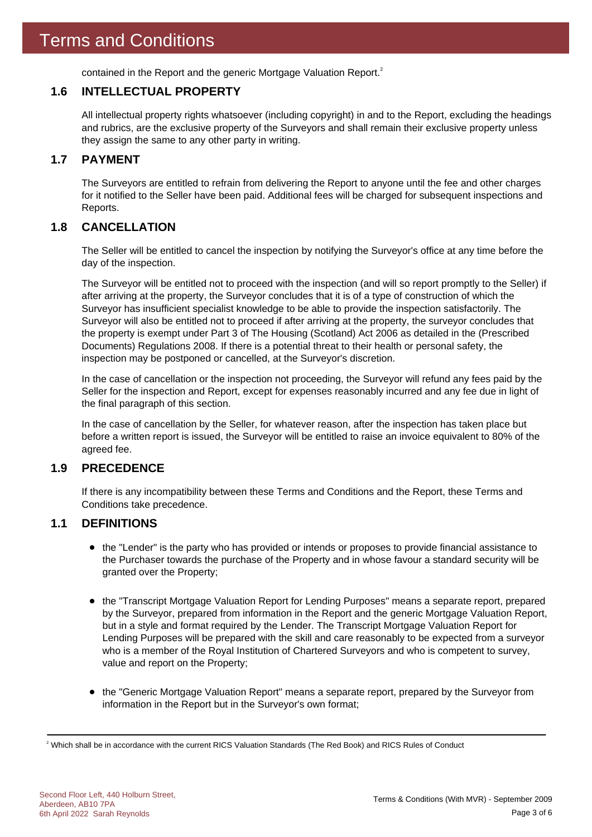contained in the Report and the generic Mortgage Valuation Report.<sup>2</sup>

### **1.6 INTELLECTUAL PROPERTY**

All intellectual property rights whatsoever (including copyright) in and to the Report, excluding the headings and rubrics, are the exclusive property of the Surveyors and shall remain their exclusive property unless they assign the same to any other party in writing.

### **1.7 PAYMENT**

The Surveyors are entitled to refrain from delivering the Report to anyone until the fee and other charges for it notified to the Seller have been paid. Additional fees will be charged for subsequent inspections and Reports.

### **1.8 CANCELLATION**

The Seller will be entitled to cancel the inspection by notifying the Surveyor's office at any time before the day of the inspection.

The Surveyor will be entitled not to proceed with the inspection (and will so report promptly to the Seller) if after arriving at the property, the Surveyor concludes that it is of a type of construction of which the Surveyor has insufficient specialist knowledge to be able to provide the inspection satisfactorily. The Surveyor will also be entitled not to proceed if after arriving at the property, the surveyor concludes that the property is exempt under Part 3 of The Housing (Scotland) Act 2006 as detailed in the (Prescribed Documents) Regulations 2008. If there is a potential threat to their health or personal safety, the inspection may be postponed or cancelled, at the Surveyor's discretion.

In the case of cancellation or the inspection not proceeding, the Surveyor will refund any fees paid by the Seller for the inspection and Report, except for expenses reasonably incurred and any fee due in light of the final paragraph of this section.

In the case of cancellation by the Seller, for whatever reason, after the inspection has taken place but before a written report is issued, the Surveyor will be entitled to raise an invoice equivalent to 80% of the agreed fee.

### **1.9 PRECEDENCE**

If there is any incompatibility between these Terms and Conditions and the Report, these Terms and Conditions take precedence.

### **1.1 DEFINITIONS**

- the "Lender" is the party who has provided or intends or proposes to provide financial assistance to the Purchaser towards the purchase of the Property and in whose favour a standard security will be granted over the Property;
- the "Transcript Mortgage Valuation Report for Lending Purposes" means a separate report, prepared by the Surveyor, prepared from information in the Report and the generic Mortgage Valuation Report, but in a style and format required by the Lender. The Transcript Mortgage Valuation Report for Lending Purposes will be prepared with the skill and care reasonably to be expected from a surveyor who is a member of the Royal Institution of Chartered Surveyors and who is competent to survey, value and report on the Property;
- the "Generic Mortgage Valuation Report" means a separate report, prepared by the Surveyor from information in the Report but in the Surveyor's own format;

 $^2$  Which shall be in accordance with the current RICS Valuation Standards (The Red Book) and RICS Rules of Conduct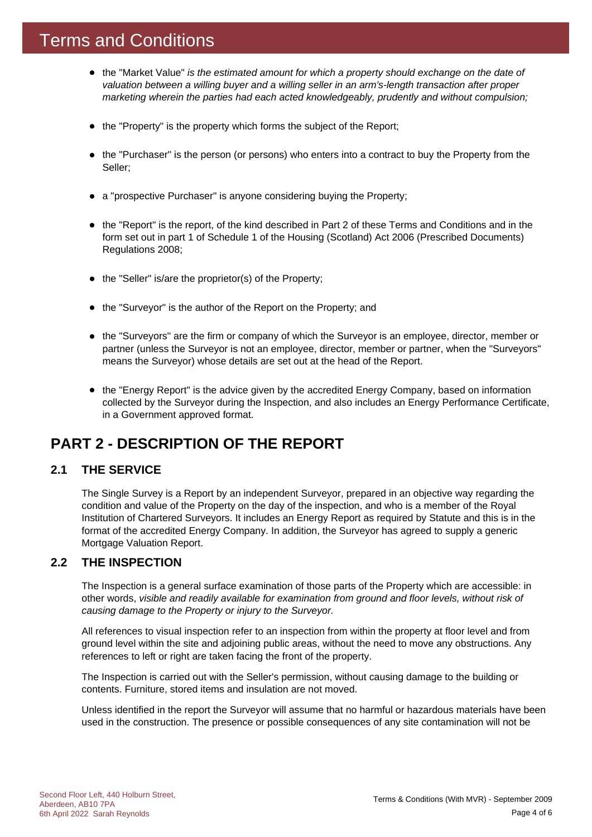### Terms and Conditions

- the "Market Value" *is the estimated amount for which a property should exchange on the date of valuation between a willing buyer and a willing seller in an arm's-length transaction after proper marketing wherein the parties had each acted knowledgeably, prudently and without compulsion;*
- the "Property" is the property which forms the subject of the Report;
- the "Purchaser" is the person (or persons) who enters into a contract to buy the Property from the Seller;
- a "prospective Purchaser" is anyone considering buying the Property;
- the "Report" is the report, of the kind described in Part 2 of these Terms and Conditions and in the form set out in part 1 of Schedule 1 of the Housing (Scotland) Act 2006 (Prescribed Documents) Regulations 2008;
- $\bullet$  the "Seller" is/are the proprietor(s) of the Property;
- the "Surveyor" is the author of the Report on the Property; and
- the "Surveyors" are the firm or company of which the Surveyor is an employee, director, member or partner (unless the Surveyor is not an employee, director, member or partner, when the "Surveyors" means the Surveyor) whose details are set out at the head of the Report.
- the "Energy Report" is the advice given by the accredited Energy Company, based on information collected by the Surveyor during the Inspection, and also includes an Energy Performance Certificate, in a Government approved format.

### **PART 2 - DESCRIPTION OF THE REPORT**

### **2.1 THE SERVICE**

The Single Survey is a Report by an independent Surveyor, prepared in an objective way regarding the condition and value of the Property on the day of the inspection, and who is a member of the Royal Institution of Chartered Surveyors. It includes an Energy Report as required by Statute and this is in the format of the accredited Energy Company. In addition, the Surveyor has agreed to supply a generic Mortgage Valuation Report.

### **2.2 THE INSPECTION**

The Inspection is a general surface examination of those parts of the Property which are accessible: in other words, *visible and readily available for examination from ground and floor levels, without risk of causing damage to the Property or injury to the Surveyor.*

All references to visual inspection refer to an inspection from within the property at floor level and from ground level within the site and adjoining public areas, without the need to move any obstructions. Any references to left or right are taken facing the front of the property.

The Inspection is carried out with the Seller's permission, without causing damage to the building or contents. Furniture, stored items and insulation are not moved.

Unless identified in the report the Surveyor will assume that no harmful or hazardous materials have been used in the construction. The presence or possible consequences of any site contamination will not be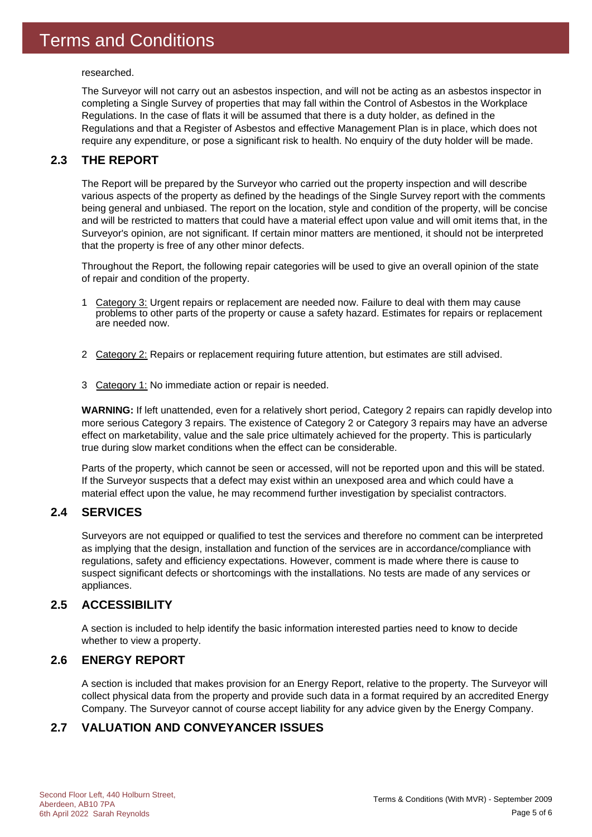researched.

The Surveyor will not carry out an asbestos inspection, and will not be acting as an asbestos inspector in completing a Single Survey of properties that may fall within the Control of Asbestos in the Workplace Regulations. In the case of flats it will be assumed that there is a duty holder, as defined in the Regulations and that a Register of Asbestos and effective Management Plan is in place, which does not require any expenditure, or pose a significant risk to health. No enquiry of the duty holder will be made.

### **2.3 THE REPORT**

The Report will be prepared by the Surveyor who carried out the property inspection and will describe various aspects of the property as defined by the headings of the Single Survey report with the comments being general and unbiased. The report on the location, style and condition of the property, will be concise and will be restricted to matters that could have a material effect upon value and will omit items that, in the Surveyor's opinion, are not significant. If certain minor matters are mentioned, it should not be interpreted that the property is free of any other minor defects.

Throughout the Report, the following repair categories will be used to give an overall opinion of the state of repair and condition of the property.

- 1 Category 3: Urgent repairs or replacement are needed now. Failure to deal with them may cause problems to other parts of the property or cause a safety hazard. Estimates for repairs or replacement are needed now.
- 2 Category 2: Repairs or replacement requiring future attention, but estimates are still advised.
- 3 Category 1: No immediate action or repair is needed.

**WARNING:** If left unattended, even for a relatively short period, Category 2 repairs can rapidly develop into more serious Category 3 repairs. The existence of Category 2 or Category 3 repairs may have an adverse effect on marketability, value and the sale price ultimately achieved for the property. This is particularly true during slow market conditions when the effect can be considerable.

Parts of the property, which cannot be seen or accessed, will not be reported upon and this will be stated. If the Surveyor suspects that a defect may exist within an unexposed area and which could have a material effect upon the value, he may recommend further investigation by specialist contractors.

### **2.4 SERVICES**

Surveyors are not equipped or qualified to test the services and therefore no comment can be interpreted as implying that the design, installation and function of the services are in accordance/compliance with regulations, safety and efficiency expectations. However, comment is made where there is cause to suspect significant defects or shortcomings with the installations. No tests are made of any services or appliances.

### **2.5 ACCESSIBILITY**

A section is included to help identify the basic information interested parties need to know to decide whether to view a property.

### **2.6 ENERGY REPORT**

A section is included that makes provision for an Energy Report, relative to the property. The Surveyor will collect physical data from the property and provide such data in a format required by an accredited Energy Company. The Surveyor cannot of course accept liability for any advice given by the Energy Company.

### **2.7 VALUATION AND CONVEYANCER ISSUES**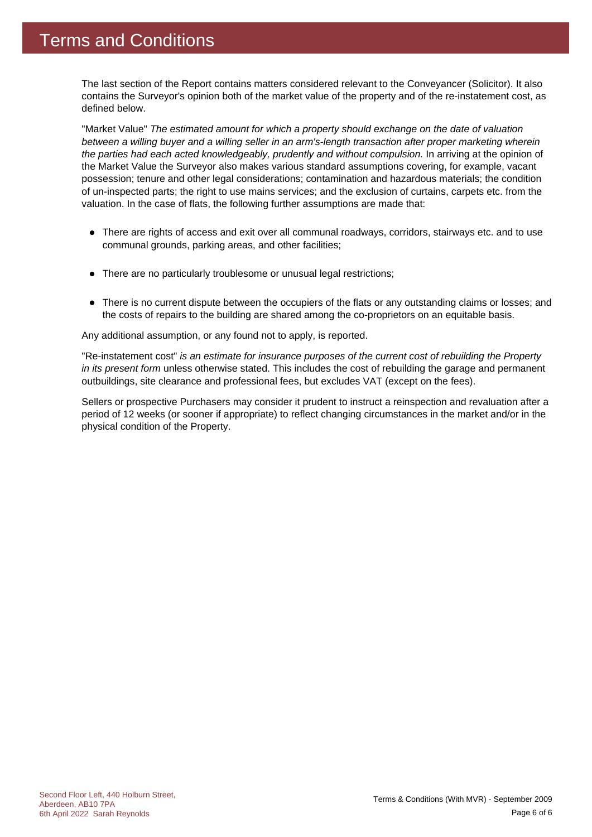The last section of the Report contains matters considered relevant to the Conveyancer (Solicitor). It also contains the Surveyor's opinion both of the market value of the property and of the re-instatement cost, as defined below.

"Market Value" *The estimated amount for which a property should exchange on the date of valuation between a willing buyer and a willing seller in an arm's-length transaction after proper marketing wherein the parties had each acted knowledgeably, prudently and without compulsion.* In arriving at the opinion of the Market Value the Surveyor also makes various standard assumptions covering, for example, vacant possession; tenure and other legal considerations; contamination and hazardous materials; the condition of un-inspected parts; the right to use mains services; and the exclusion of curtains, carpets etc. from the valuation. In the case of flats, the following further assumptions are made that:

- There are rights of access and exit over all communal roadways, corridors, stairways etc. and to use communal grounds, parking areas, and other facilities;
- There are no particularly troublesome or unusual legal restrictions;
- There is no current dispute between the occupiers of the flats or any outstanding claims or losses; and the costs of repairs to the building are shared among the co-proprietors on an equitable basis.

Any additional assumption, or any found not to apply, is reported.

"Re-instatement cost" *is an estimate for insurance purposes of the current cost of rebuilding the Property in its present form* unless otherwise stated. This includes the cost of rebuilding the garage and permanent outbuildings, site clearance and professional fees, but excludes VAT (except on the fees).

Sellers or prospective Purchasers may consider it prudent to instruct a reinspection and revaluation after a period of 12 weeks (or sooner if appropriate) to reflect changing circumstances in the market and/or in the physical condition of the Property.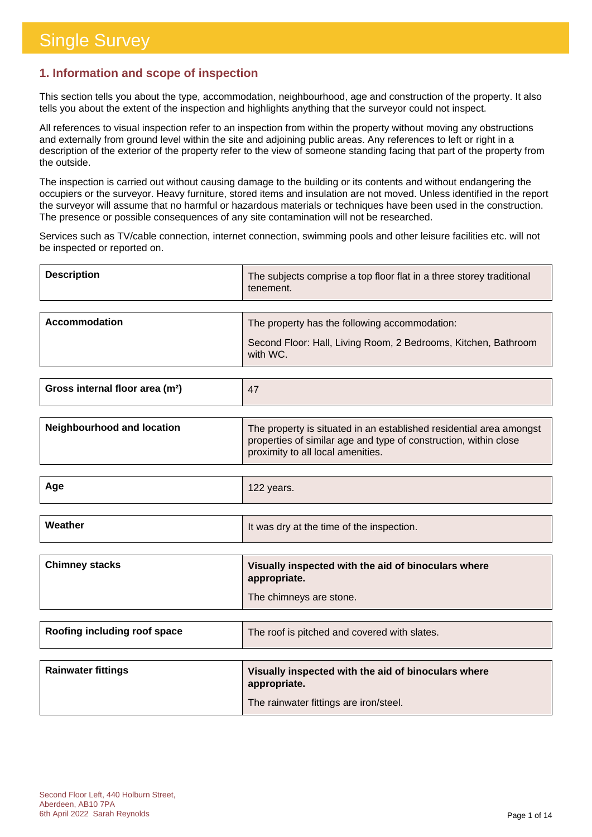### **1. Information and scope of inspection**

This section tells you about the type, accommodation, neighbourhood, age and construction of the property. It also tells you about the extent of the inspection and highlights anything that the surveyor could not inspect.

All references to visual inspection refer to an inspection from within the property without moving any obstructions and externally from ground level within the site and adjoining public areas. Any references to left or right in a description of the exterior of the property refer to the view of someone standing facing that part of the property from the outside.

The inspection is carried out without causing damage to the building or its contents and without endangering the occupiers or the surveyor. Heavy furniture, stored items and insulation are not moved. Unless identified in the report the surveyor will assume that no harmful or hazardous materials or techniques have been used in the construction. The presence or possible consequences of any site contamination will not be researched.

Services such as TV/cable connection, internet connection, swimming pools and other leisure facilities etc. will not be inspected or reported on.

| <b>Description</b> | The subjects comprise a top floor flat in a three storey traditional<br>tenement. |
|--------------------|-----------------------------------------------------------------------------------|
|                    |                                                                                   |
| Accommodation      | The property has the following accommodation:                                     |
|                    | Second Floor: Hall, Living Room, 2 Bedrooms, Kitchen, Bathroom<br>with WC.        |

| Gross internal floor area (m <sup>2</sup> ) |  |
|---------------------------------------------|--|
|                                             |  |

| Neighbourhood and location | The property is situated in an established residential area amongst<br>properties of similar age and type of construction, within close<br>proximity to all local amenities. |
|----------------------------|------------------------------------------------------------------------------------------------------------------------------------------------------------------------------|
|                            |                                                                                                                                                                              |

| Age | $\sim$<br>$\sim$ $\sim$ $\sim$<br><b>IZZ years.</b> |
|-----|-----------------------------------------------------|
|     |                                                     |

| Weather | It was dry at the time of the inspection. |
|---------|-------------------------------------------|
|         |                                           |

| <b>Chimney stacks</b> | Visually inspected with the aid of binoculars where<br>appropriate. |
|-----------------------|---------------------------------------------------------------------|
|                       | The chimneys are stone.                                             |

| Roofing including roof space | The roof is pitched and covered with slates. |
|------------------------------|----------------------------------------------|
|------------------------------|----------------------------------------------|

| <b>Rainwater fittings</b> | Visually inspected with the aid of binoculars where<br>appropriate. |
|---------------------------|---------------------------------------------------------------------|
|                           | The rainwater fittings are iron/steel.                              |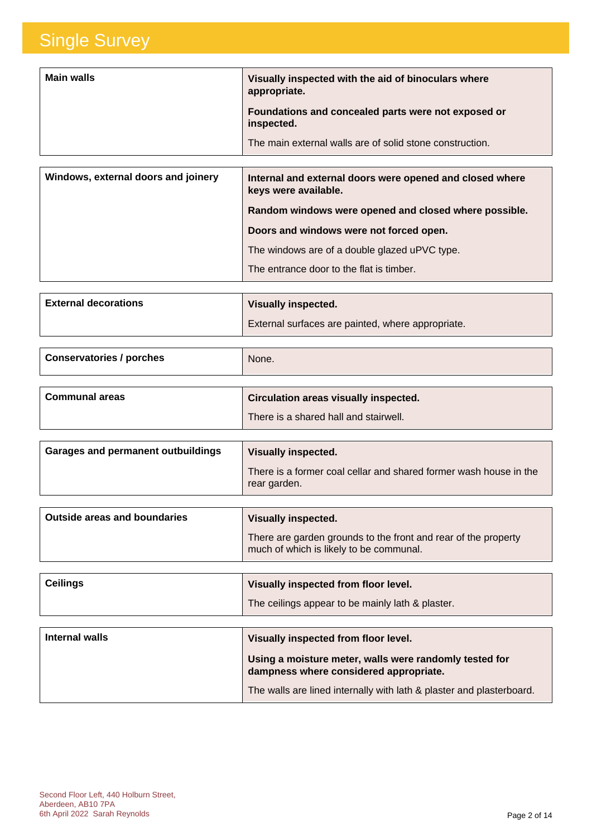| <b>Main walls</b> | Visually inspected with the aid of binoculars where<br>appropriate. |
|-------------------|---------------------------------------------------------------------|
|                   | Foundations and concealed parts were not exposed or<br>inspected.   |
|                   | The main external walls are of solid stone construction.            |

| Windows, external doors and joinery | Internal and external doors were opened and closed where<br>keys were available. |
|-------------------------------------|----------------------------------------------------------------------------------|
|                                     | Random windows were opened and closed where possible.                            |
|                                     | Doors and windows were not forced open.                                          |
|                                     | The windows are of a double glazed uPVC type.                                    |
|                                     | The entrance door to the flat is timber.                                         |

| <b>External decorations</b> | <b>Visually inspected.</b>                        |
|-----------------------------|---------------------------------------------------|
|                             | External surfaces are painted, where appropriate. |

| <b>Conservatories / porches</b> | None.                                        |
|---------------------------------|----------------------------------------------|
|                                 |                                              |
| <b>Communal areas</b>           | <b>Circulation areas visually inspected.</b> |
|                                 | There is a shared hall and stairwell.        |

| Garages and permanent outbuildings | Visually inspected.                                                               |
|------------------------------------|-----------------------------------------------------------------------------------|
|                                    | There is a former coal cellar and shared former wash house in the<br>rear garden. |

| There are garden grounds to the front and rear of the property<br>much of which is likely to be communal. | Outside areas and boundaries | Visually inspected. |
|-----------------------------------------------------------------------------------------------------------|------------------------------|---------------------|
|                                                                                                           |                              |                     |

| <b>Ceilings</b> | Visually inspected from floor level.                                                             |
|-----------------|--------------------------------------------------------------------------------------------------|
|                 | The ceilings appear to be mainly lath & plaster.                                                 |
|                 |                                                                                                  |
| Internal walls  | Visually inspected from floor level.                                                             |
|                 | Using a moisture meter, walls were randomly tested for<br>dampness where considered appropriate. |
|                 | The walls are lined internally with lath & plaster and plasterboard.                             |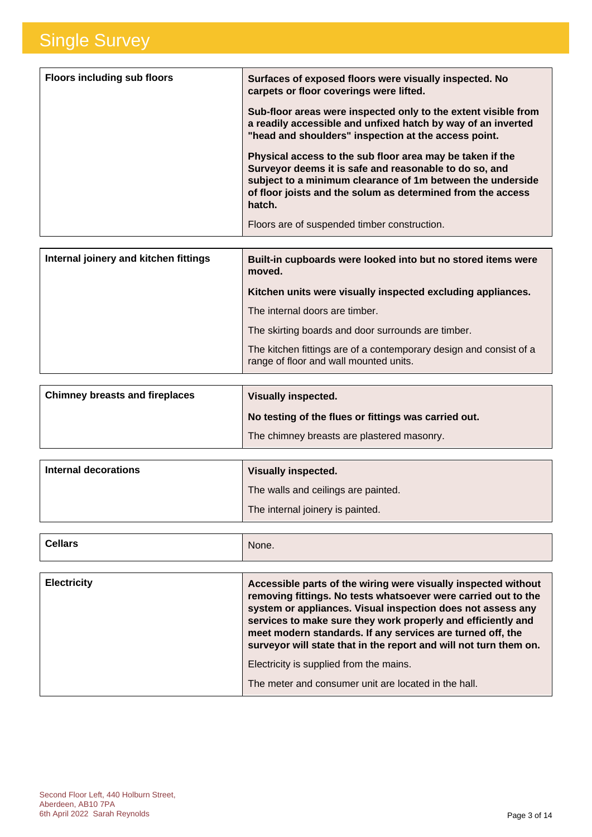| <b>Floors including sub floors</b> | Surfaces of exposed floors were visually inspected. No<br>carpets or floor coverings were lifted.                                                                                                                                                          |
|------------------------------------|------------------------------------------------------------------------------------------------------------------------------------------------------------------------------------------------------------------------------------------------------------|
|                                    | Sub-floor areas were inspected only to the extent visible from<br>a readily accessible and unfixed hatch by way of an inverted<br>"head and shoulders" inspection at the access point.                                                                     |
|                                    | Physical access to the sub floor area may be taken if the<br>Surveyor deems it is safe and reasonable to do so, and<br>subject to a minimum clearance of 1m between the underside<br>of floor joists and the solum as determined from the access<br>hatch. |
|                                    | Floors are of suspended timber construction.                                                                                                                                                                                                               |

| Internal joinery and kitchen fittings | Built-in cupboards were looked into but no stored items were<br>moved.                                       |
|---------------------------------------|--------------------------------------------------------------------------------------------------------------|
|                                       | Kitchen units were visually inspected excluding appliances.                                                  |
|                                       | The internal doors are timber.                                                                               |
|                                       | The skirting boards and door surrounds are timber.                                                           |
|                                       | The kitchen fittings are of a contemporary design and consist of a<br>range of floor and wall mounted units. |

| <b>Chimney breasts and fireplaces</b> | <b>Visually inspected.</b>                           |
|---------------------------------------|------------------------------------------------------|
|                                       | No testing of the flues or fittings was carried out. |
|                                       | The chimney breasts are plastered masonry.           |

| Internal decorations | <b>Visually inspected.</b>          |
|----------------------|-------------------------------------|
|                      | The walls and ceilings are painted. |
|                      | The internal joinery is painted.    |

| <b>Cellars</b> | None. |
|----------------|-------|
|                |       |

| <b>Electricity</b> | Accessible parts of the wiring were visually inspected without<br>removing fittings. No tests whatsoever were carried out to the<br>system or appliances. Visual inspection does not assess any<br>services to make sure they work properly and efficiently and<br>meet modern standards. If any services are turned off, the<br>surveyor will state that in the report and will not turn them on. |
|--------------------|----------------------------------------------------------------------------------------------------------------------------------------------------------------------------------------------------------------------------------------------------------------------------------------------------------------------------------------------------------------------------------------------------|
|                    | Electricity is supplied from the mains.                                                                                                                                                                                                                                                                                                                                                            |
|                    | The meter and consumer unit are located in the hall.                                                                                                                                                                                                                                                                                                                                               |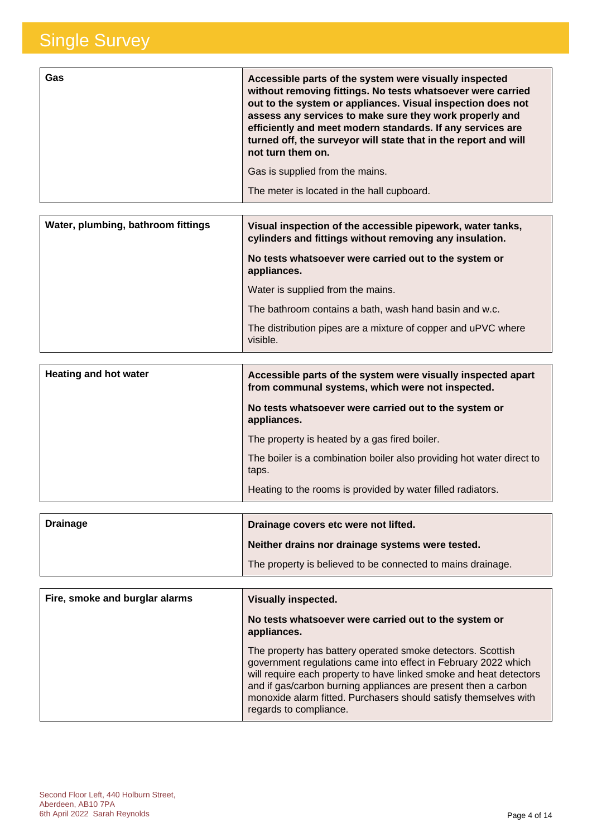| <b>Gas</b> | Accessible parts of the system were visually inspected<br>without removing fittings. No tests whatsoever were carried<br>out to the system or appliances. Visual inspection does not<br>assess any services to make sure they work properly and<br>efficiently and meet modern standards. If any services are<br>turned off, the surveyor will state that in the report and will<br>not turn them on. |
|------------|-------------------------------------------------------------------------------------------------------------------------------------------------------------------------------------------------------------------------------------------------------------------------------------------------------------------------------------------------------------------------------------------------------|
|            | Gas is supplied from the mains.                                                                                                                                                                                                                                                                                                                                                                       |
|            | The meter is located in the hall cupboard.                                                                                                                                                                                                                                                                                                                                                            |
|            |                                                                                                                                                                                                                                                                                                                                                                                                       |

| Water, plumbing, bathroom fittings | Visual inspection of the accessible pipework, water tanks,<br>cylinders and fittings without removing any insulation. |
|------------------------------------|-----------------------------------------------------------------------------------------------------------------------|
|                                    | No tests whatsoever were carried out to the system or<br>appliances.                                                  |
|                                    | Water is supplied from the mains.                                                                                     |
|                                    | The bathroom contains a bath, wash hand basin and w.c.                                                                |
|                                    | The distribution pipes are a mixture of copper and uPVC where<br>visible.                                             |

| Accessible parts of the system were visually inspected apart<br>from communal systems, which were not inspected. |
|------------------------------------------------------------------------------------------------------------------|
| No tests whatsoever were carried out to the system or<br>appliances.                                             |
| The property is heated by a gas fired boiler.                                                                    |
| The boiler is a combination boiler also providing hot water direct to<br>taps.                                   |
| Heating to the rooms is provided by water filled radiators.                                                      |
|                                                                                                                  |

| <b>Drainage</b> | Drainage covers etc were not lifted.                        |  |
|-----------------|-------------------------------------------------------------|--|
|                 | Neither drains nor drainage systems were tested.            |  |
|                 | The property is believed to be connected to mains drainage. |  |

| Fire, smoke and burglar alarms | <b>Visually inspected.</b>                                                                                                                                                                                                                                                                                                                                          |
|--------------------------------|---------------------------------------------------------------------------------------------------------------------------------------------------------------------------------------------------------------------------------------------------------------------------------------------------------------------------------------------------------------------|
|                                | No tests whatsoever were carried out to the system or<br>appliances.                                                                                                                                                                                                                                                                                                |
|                                | The property has battery operated smoke detectors. Scottish<br>government regulations came into effect in February 2022 which<br>will require each property to have linked smoke and heat detectors<br>and if gas/carbon burning appliances are present then a carbon<br>monoxide alarm fitted. Purchasers should satisfy themselves with<br>regards to compliance. |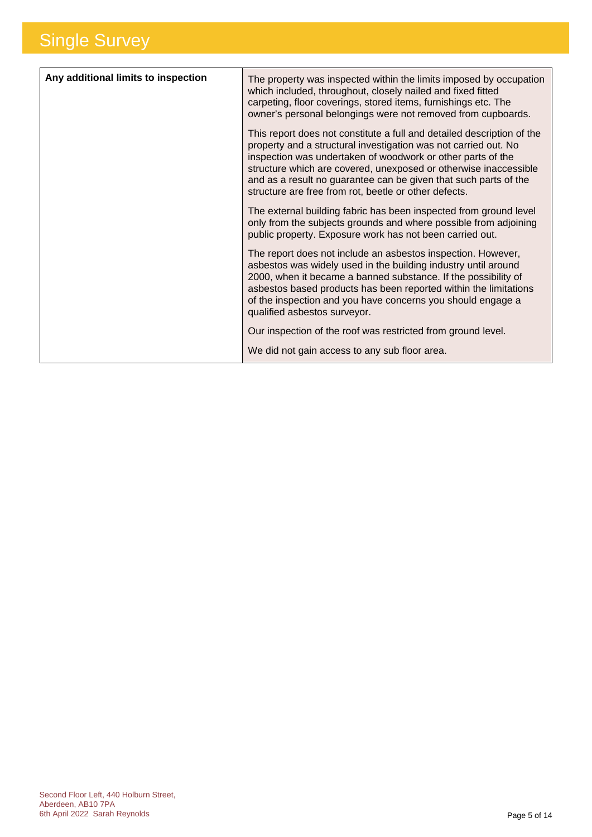| Any additional limits to inspection | The property was inspected within the limits imposed by occupation<br>which included, throughout, closely nailed and fixed fitted<br>carpeting, floor coverings, stored items, furnishings etc. The<br>owner's personal belongings were not removed from cupboards.                                                                                                                                       |
|-------------------------------------|-----------------------------------------------------------------------------------------------------------------------------------------------------------------------------------------------------------------------------------------------------------------------------------------------------------------------------------------------------------------------------------------------------------|
|                                     | This report does not constitute a full and detailed description of the<br>property and a structural investigation was not carried out. No<br>inspection was undertaken of woodwork or other parts of the<br>structure which are covered, unexposed or otherwise inaccessible<br>and as a result no guarantee can be given that such parts of the<br>structure are free from rot, beetle or other defects. |
|                                     | The external building fabric has been inspected from ground level<br>only from the subjects grounds and where possible from adjoining<br>public property. Exposure work has not been carried out.                                                                                                                                                                                                         |
|                                     | The report does not include an asbestos inspection. However,<br>asbestos was widely used in the building industry until around<br>2000, when it became a banned substance. If the possibility of<br>asbestos based products has been reported within the limitations<br>of the inspection and you have concerns you should engage a<br>qualified asbestos surveyor.                                       |
|                                     | Our inspection of the roof was restricted from ground level.                                                                                                                                                                                                                                                                                                                                              |
|                                     | We did not gain access to any sub floor area.                                                                                                                                                                                                                                                                                                                                                             |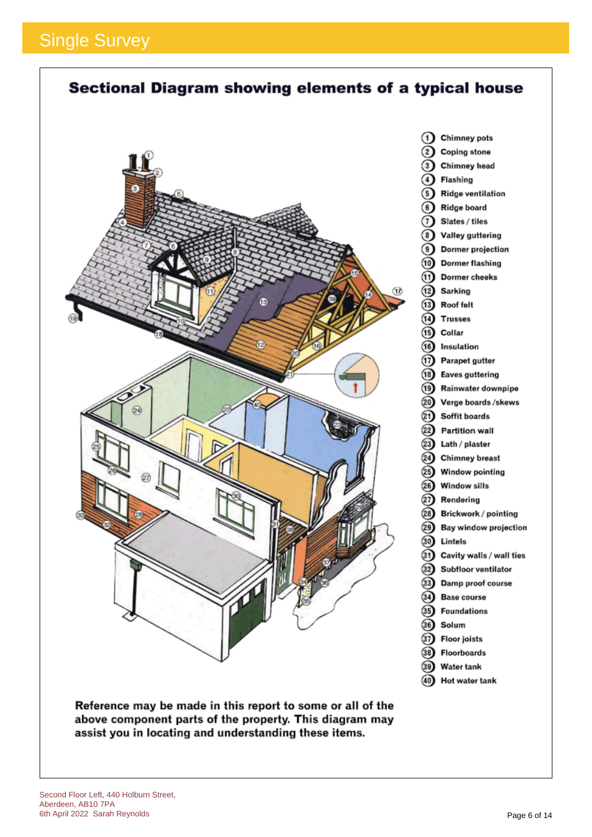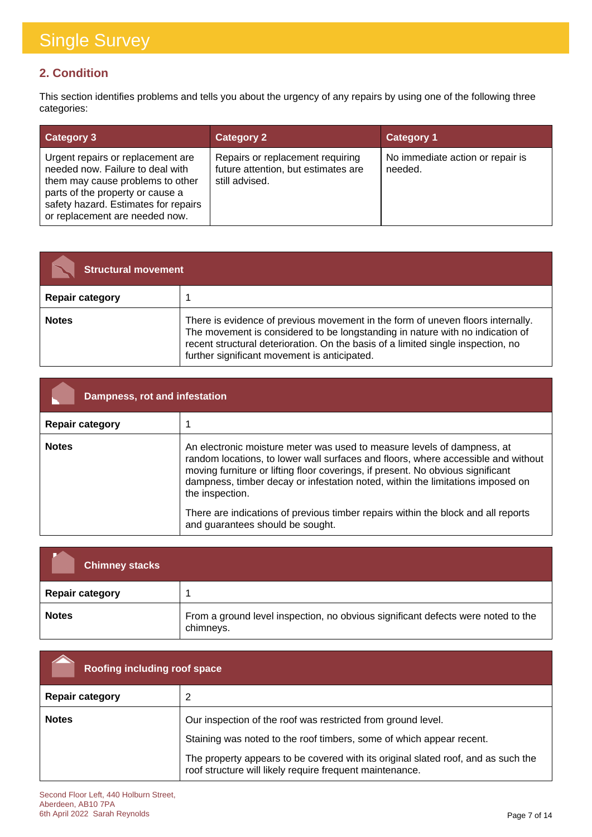### **2. Condition**

This section identifies problems and tells you about the urgency of any repairs by using one of the following three categories:

| <b>Category 3</b>                                                                                                                                                                                                       | <b>Category 2</b>                                                                         | <b>Category 1</b>                           |
|-------------------------------------------------------------------------------------------------------------------------------------------------------------------------------------------------------------------------|-------------------------------------------------------------------------------------------|---------------------------------------------|
| Urgent repairs or replacement are<br>needed now. Failure to deal with<br>them may cause problems to other<br>parts of the property or cause a<br>safety hazard. Estimates for repairs<br>or replacement are needed now. | Repairs or replacement requiring<br>future attention, but estimates are<br>still advised. | No immediate action or repair is<br>needed. |

| <b>Structural movement</b> |                                                                                                                                                                                                                                                                                                      |
|----------------------------|------------------------------------------------------------------------------------------------------------------------------------------------------------------------------------------------------------------------------------------------------------------------------------------------------|
| <b>Repair category</b>     |                                                                                                                                                                                                                                                                                                      |
| <b>Notes</b>               | There is evidence of previous movement in the form of uneven floors internally.<br>The movement is considered to be longstanding in nature with no indication of<br>recent structural deterioration. On the basis of a limited single inspection, no<br>further significant movement is anticipated. |

| Dampness, rot and infestation |                                                                                                                                                                                                                                                                                                                                                                                                                                                                               |
|-------------------------------|-------------------------------------------------------------------------------------------------------------------------------------------------------------------------------------------------------------------------------------------------------------------------------------------------------------------------------------------------------------------------------------------------------------------------------------------------------------------------------|
| <b>Repair category</b>        |                                                                                                                                                                                                                                                                                                                                                                                                                                                                               |
| <b>Notes</b>                  | An electronic moisture meter was used to measure levels of dampness, at<br>random locations, to lower wall surfaces and floors, where accessible and without<br>moving furniture or lifting floor coverings, if present. No obvious significant<br>dampness, timber decay or infestation noted, within the limitations imposed on<br>the inspection.<br>There are indications of previous timber repairs within the block and all reports<br>and guarantees should be sought. |

| <b>Chimney stacks</b>  |                                                                                               |
|------------------------|-----------------------------------------------------------------------------------------------|
| <b>Repair category</b> |                                                                                               |
| <b>Notes</b>           | From a ground level inspection, no obvious significant defects were noted to the<br>chimneys. |

| Roofing including roof space |                                                                                                                                               |
|------------------------------|-----------------------------------------------------------------------------------------------------------------------------------------------|
| <b>Repair category</b>       | 2                                                                                                                                             |
| <b>Notes</b>                 | Our inspection of the roof was restricted from ground level.                                                                                  |
|                              | Staining was noted to the roof timbers, some of which appear recent.                                                                          |
|                              | The property appears to be covered with its original slated roof, and as such the<br>roof structure will likely require frequent maintenance. |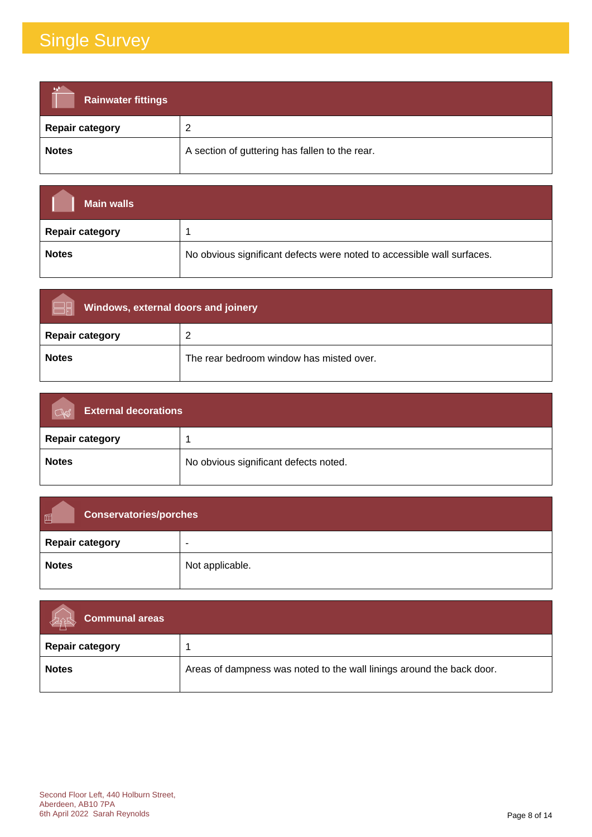| <b>Rainwater fittings</b> |                                                |
|---------------------------|------------------------------------------------|
| <b>Repair category</b>    | ◠                                              |
| <b>Notes</b>              | A section of guttering has fallen to the rear. |

| <b>Main walls</b>      |                                                                        |
|------------------------|------------------------------------------------------------------------|
| <b>Repair category</b> |                                                                        |
| <b>Notes</b>           | No obvious significant defects were noted to accessible wall surfaces. |

| Windows, external doors and joinery |                                          |
|-------------------------------------|------------------------------------------|
| <b>Repair category</b>              | - 2                                      |
| <b>Notes</b>                        | The rear bedroom window has misted over. |

| <b>External decorations</b><br>$\overline{C}$ |                                       |
|-----------------------------------------------|---------------------------------------|
| <b>Repair category</b>                        |                                       |
| <b>Notes</b>                                  | No obvious significant defects noted. |

| <b>Conservatories/porches</b><br>画 |                 |
|------------------------------------|-----------------|
| <b>Repair category</b>             | $\blacksquare$  |
| <b>Notes</b>                       | Not applicable. |

| <b>Communal areas</b>  |                                                                       |
|------------------------|-----------------------------------------------------------------------|
| <b>Repair category</b> |                                                                       |
| <b>Notes</b>           | Areas of dampness was noted to the wall linings around the back door. |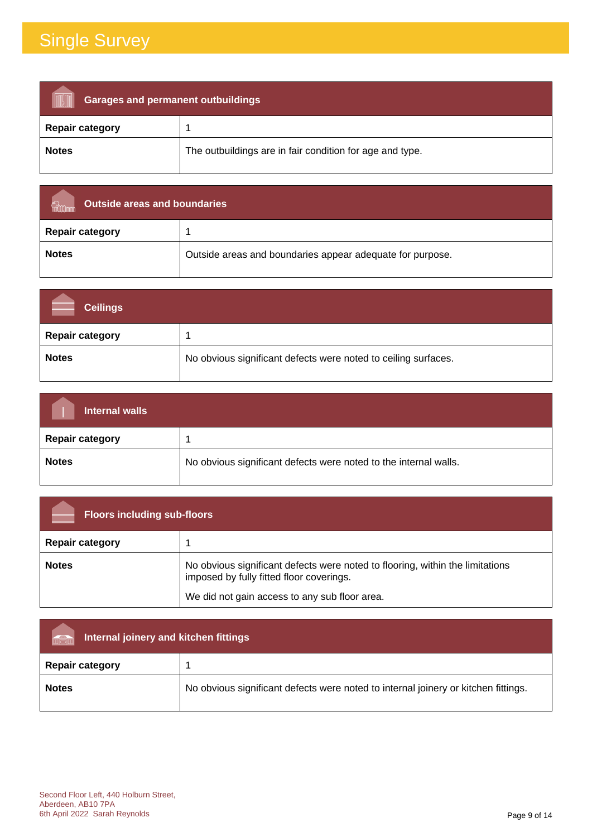| <b>Garages and permanent outbuildings</b> |                                                          |
|-------------------------------------------|----------------------------------------------------------|
| <b>Repair category</b>                    |                                                          |
| <b>Notes</b>                              | The outbuildings are in fair condition for age and type. |

| Outside areas and boundaries |                                                           |
|------------------------------|-----------------------------------------------------------|
| <b>Repair category</b>       |                                                           |
| <b>Notes</b>                 | Outside areas and boundaries appear adequate for purpose. |

| <b>Ceilings</b>        |                                                                |
|------------------------|----------------------------------------------------------------|
| <b>Repair category</b> |                                                                |
| <b>Notes</b>           | No obvious significant defects were noted to ceiling surfaces. |

| <b>Internal walls</b>  |                                                                  |
|------------------------|------------------------------------------------------------------|
| <b>Repair category</b> |                                                                  |
| <b>Notes</b>           | No obvious significant defects were noted to the internal walls. |

| <b>Floors including sub-floors</b> |                                                                                                                           |
|------------------------------------|---------------------------------------------------------------------------------------------------------------------------|
| <b>Repair category</b>             |                                                                                                                           |
| <b>Notes</b>                       | No obvious significant defects were noted to flooring, within the limitations<br>imposed by fully fitted floor coverings. |
|                                    | We did not gain access to any sub floor area.                                                                             |

| Internal joinery and kitchen fittings<br>VICI |                                                                                    |  |
|-----------------------------------------------|------------------------------------------------------------------------------------|--|
| <b>Repair category</b>                        |                                                                                    |  |
| <b>Notes</b>                                  | No obvious significant defects were noted to internal joinery or kitchen fittings. |  |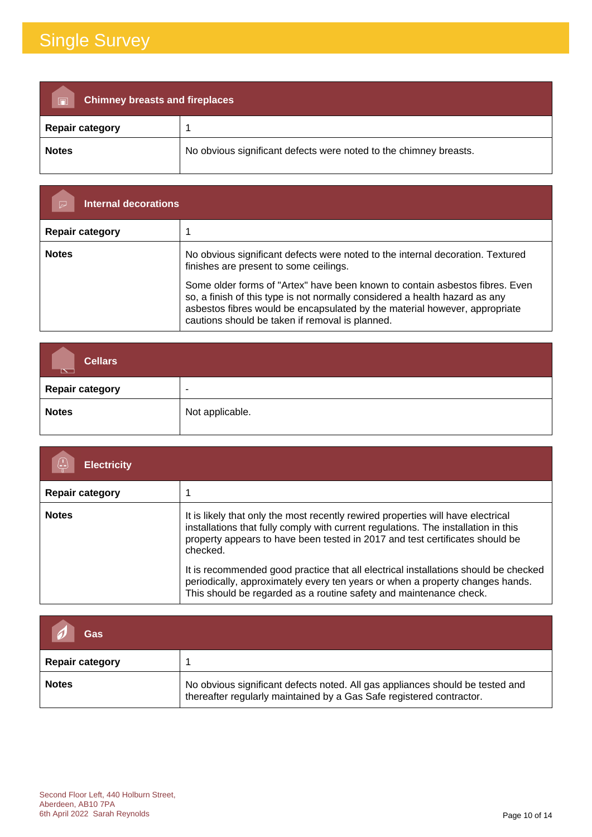| <b>Chimney breasts and fireplaces</b><br>$\overline{\blacksquare}$ |                                                                   |  |
|--------------------------------------------------------------------|-------------------------------------------------------------------|--|
| <b>Repair category</b>                                             |                                                                   |  |
| <b>Notes</b>                                                       | No obvious significant defects were noted to the chimney breasts. |  |

| <b>Internal decorations</b> |                                                                                                                                                                                                                                                                                              |
|-----------------------------|----------------------------------------------------------------------------------------------------------------------------------------------------------------------------------------------------------------------------------------------------------------------------------------------|
| <b>Repair category</b>      |                                                                                                                                                                                                                                                                                              |
| <b>Notes</b>                | No obvious significant defects were noted to the internal decoration. Textured<br>finishes are present to some ceilings.                                                                                                                                                                     |
|                             | Some older forms of "Artex" have been known to contain asbestos fibres. Even<br>so, a finish of this type is not normally considered a health hazard as any<br>asbestos fibres would be encapsulated by the material however, appropriate<br>cautions should be taken if removal is planned. |

| <b>Cellars</b><br>$\sim$ $\sim$ |                 |
|---------------------------------|-----------------|
| <b>Repair category</b>          |                 |
| <b>Notes</b>                    | Not applicable. |

| <b>Electricity</b>     |                                                                                                                                                                                                                                                                                                                                                           |
|------------------------|-----------------------------------------------------------------------------------------------------------------------------------------------------------------------------------------------------------------------------------------------------------------------------------------------------------------------------------------------------------|
| <b>Repair category</b> |                                                                                                                                                                                                                                                                                                                                                           |
| <b>Notes</b>           | It is likely that only the most recently rewired properties will have electrical<br>installations that fully comply with current regulations. The installation in this<br>property appears to have been tested in 2017 and test certificates should be<br>checked.<br>It is recommended good practice that all electrical installations should be checked |
|                        | periodically, approximately every ten years or when a property changes hands.<br>This should be regarded as a routine safety and maintenance check.                                                                                                                                                                                                       |

| Gas                    |                                                                                                                                                       |
|------------------------|-------------------------------------------------------------------------------------------------------------------------------------------------------|
| <b>Repair category</b> |                                                                                                                                                       |
| <b>Notes</b>           | No obvious significant defects noted. All gas appliances should be tested and<br>thereafter regularly maintained by a Gas Safe registered contractor. |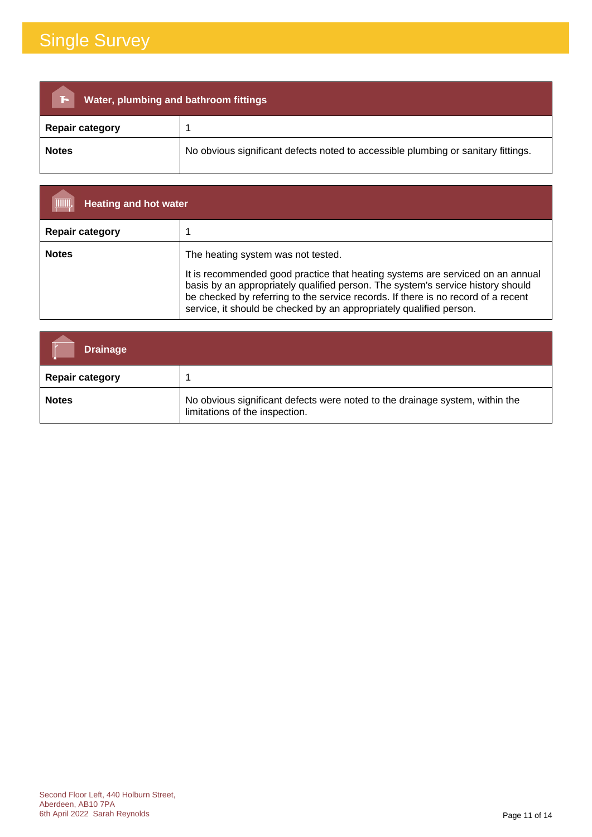| Water, plumbing and bathroom fittings<br>F. |                                                                                   |  |
|---------------------------------------------|-----------------------------------------------------------------------------------|--|
| <b>Repair category</b>                      |                                                                                   |  |
| <b>Notes</b>                                | No obvious significant defects noted to accessible plumbing or sanitary fittings. |  |

| (IIIIIII)<br><b>Heating and hot water</b> |                                                                                                                                                                                                                                                                                                                                                                     |
|-------------------------------------------|---------------------------------------------------------------------------------------------------------------------------------------------------------------------------------------------------------------------------------------------------------------------------------------------------------------------------------------------------------------------|
| <b>Repair category</b>                    |                                                                                                                                                                                                                                                                                                                                                                     |
| <b>Notes</b>                              | The heating system was not tested.<br>It is recommended good practice that heating systems are serviced on an annual<br>basis by an appropriately qualified person. The system's service history should<br>be checked by referring to the service records. If there is no record of a recent<br>service, it should be checked by an appropriately qualified person. |

| <b>Drainage</b>        |                                                                                                                |
|------------------------|----------------------------------------------------------------------------------------------------------------|
| <b>Repair category</b> |                                                                                                                |
| <b>Notes</b>           | No obvious significant defects were noted to the drainage system, within the<br>limitations of the inspection. |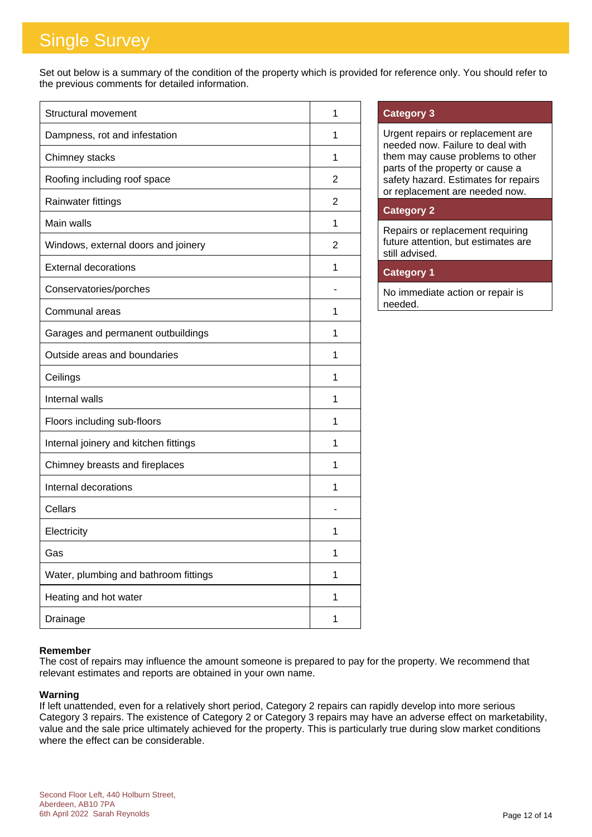Set out below is a summary of the condition of the property which is provided for reference only. You should refer to the previous comments for detailed information.

| <b>Structural movement</b>            | 1              |
|---------------------------------------|----------------|
| Dampness, rot and infestation         | 1              |
| Chimney stacks                        | 1              |
| Roofing including roof space          | $\overline{2}$ |
| Rainwater fittings                    | 2              |
| Main walls                            | 1              |
| Windows, external doors and joinery   | 2              |
| <b>External decorations</b>           | 1              |
| Conservatories/porches                |                |
| Communal areas                        | 1              |
| Garages and permanent outbuildings    | 1              |
| Outside areas and boundaries          | 1              |
| Ceilings                              | 1              |
| Internal walls                        | 1              |
| Floors including sub-floors           | 1              |
| Internal joinery and kitchen fittings | 1              |
| Chimney breasts and fireplaces        | 1              |
| Internal decorations                  | 1              |
| Cellars                               |                |
| Electricity                           | 1              |
| Gas                                   | 1              |
| Water, plumbing and bathroom fittings | 1              |
| Heating and hot water                 | 1              |
| Drainage                              | 1              |

#### **Category 3**

Urgent repairs or replacement are needed now. Failure to deal with them may cause problems to other parts of the property or cause a safety hazard. Estimates for repairs or replacement are needed now.

#### **Category 2**

Repairs or replacement requiring future attention, but estimates are still advised.

### **Category 1**

No immediate action or repair is needed.

#### **Remember**

The cost of repairs may influence the amount someone is prepared to pay for the property. We recommend that relevant estimates and reports are obtained in your own name.

#### **Warning**

If left unattended, even for a relatively short period, Category 2 repairs can rapidly develop into more serious Category 3 repairs. The existence of Category 2 or Category 3 repairs may have an adverse effect on marketability, value and the sale price ultimately achieved for the property. This is particularly true during slow market conditions where the effect can be considerable.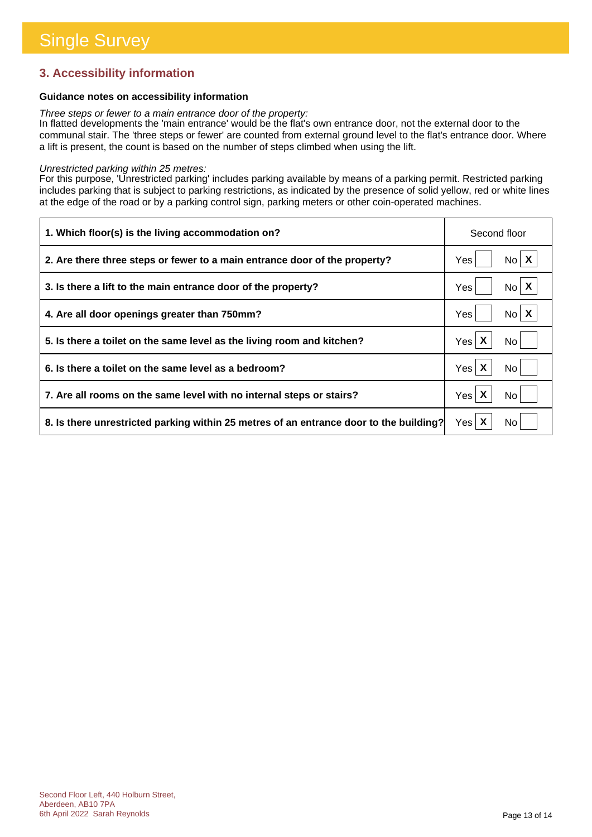### **3. Accessibility information**

#### **Guidance notes on accessibility information**

*Three steps or fewer to a main entrance door of the property:*

In flatted developments the 'main entrance' would be the flat's own entrance door, not the external door to the communal stair. The 'three steps or fewer' are counted from external ground level to the flat's entrance door. Where a lift is present, the count is based on the number of steps climbed when using the lift.

#### *Unrestricted parking within 25 metres:*

For this purpose, 'Unrestricted parking' includes parking available by means of a parking permit. Restricted parking includes parking that is subject to parking restrictions, as indicated by the presence of solid yellow, red or white lines at the edge of the road or by a parking control sign, parking meters or other coin-operated machines.

| 1. Which floor(s) is the living accommodation on?                                      | Second floor             |
|----------------------------------------------------------------------------------------|--------------------------|
| 2. Are there three steps or fewer to a main entrance door of the property?             | $No$ $X$<br>Yes          |
| 3. Is there a lift to the main entrance door of the property?                          | $N_0$ $X$<br>Yes         |
| 4. Are all door openings greater than 750mm?                                           | No X<br>Yes              |
| 5. Is there a toilet on the same level as the living room and kitchen?                 | Yes $\mathsf{X}$<br>No l |
| 6. Is there a toilet on the same level as a bedroom?                                   | Yes X<br>No.             |
| 7. Are all rooms on the same level with no internal steps or stairs?                   | Yes $\mathsf{X}$<br>No   |
| 8. Is there unrestricted parking within 25 metres of an entrance door to the building? | Yes $\mathsf{X}$<br>No.  |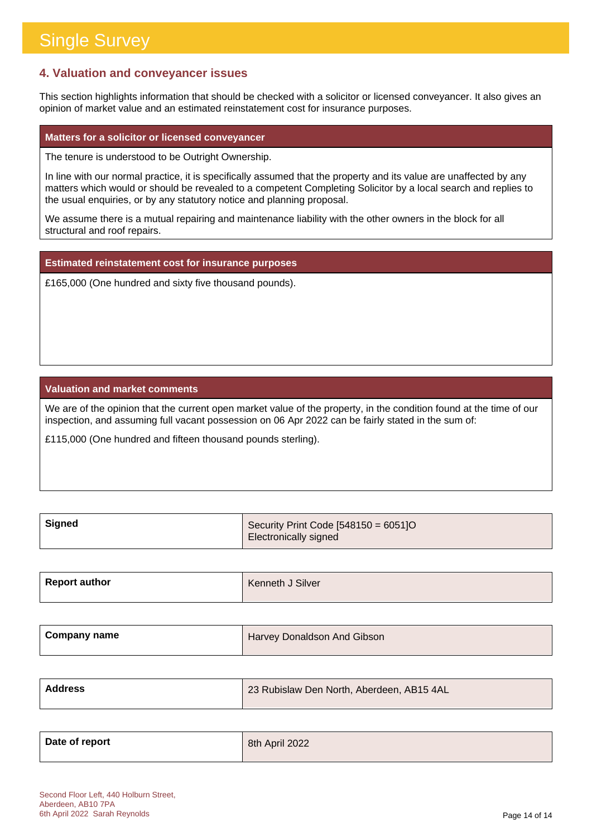### **4. Valuation and conveyancer issues**

This section highlights information that should be checked with a solicitor or licensed conveyancer. It also gives an opinion of market value and an estimated reinstatement cost for insurance purposes.

#### **Matters for a solicitor or licensed conveyancer**

The tenure is understood to be Outright Ownership.

In line with our normal practice, it is specifically assumed that the property and its value are unaffected by any matters which would or should be revealed to a competent Completing Solicitor by a local search and replies to the usual enquiries, or by any statutory notice and planning proposal.

We assume there is a mutual repairing and maintenance liability with the other owners in the block for all structural and roof repairs.

**Estimated reinstatement cost for insurance purposes**

£165,000 (One hundred and sixty five thousand pounds).

#### **Valuation and market comments**

We are of the opinion that the current open market value of the property, in the condition found at the time of our inspection, and assuming full vacant possession on 06 Apr 2022 can be fairly stated in the sum of:

£115,000 (One hundred and fifteen thousand pounds sterling).

| , Signed | Security Print Code $[548150 = 6051]$ O |
|----------|-----------------------------------------|
|          | Electronically signed                   |

| <b>Report author</b> | Kenneth J Silver |
|----------------------|------------------|
|                      |                  |

| <b>Company name</b> | Harvey Donaldson And Gibson |
|---------------------|-----------------------------|
|                     |                             |

| Address | 23 Rubislaw Den North, Aberdeen, AB15 4AL |
|---------|-------------------------------------------|
|         |                                           |

| Date of report | 8th April 2022 |
|----------------|----------------|
|                |                |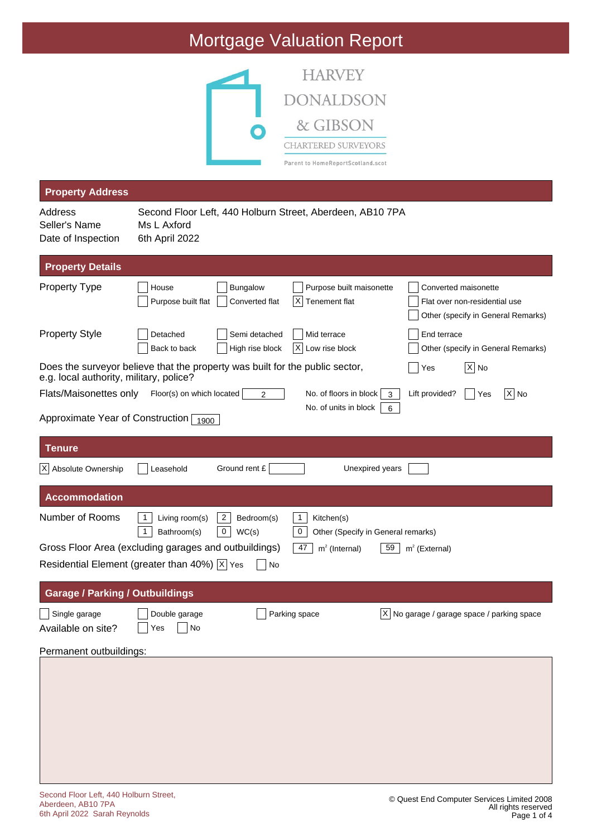

| <b>Property Address</b>                                                                                                 |                                          |                                                       |                                                                       |                                                         |                                                                                             |          |
|-------------------------------------------------------------------------------------------------------------------------|------------------------------------------|-------------------------------------------------------|-----------------------------------------------------------------------|---------------------------------------------------------|---------------------------------------------------------------------------------------------|----------|
| Address<br>Seller's Name<br>Date of Inspection                                                                          | Ms L Axford<br>6th April 2022            |                                                       | Second Floor Left, 440 Holburn Street, Aberdeen, AB10 7PA             |                                                         |                                                                                             |          |
| <b>Property Details</b>                                                                                                 |                                          |                                                       |                                                                       |                                                         |                                                                                             |          |
| <b>Property Type</b>                                                                                                    | House<br>Purpose built flat              | <b>Bungalow</b><br>Converted flat                     | Purpose built maisonette<br> X <br>Tenement flat                      |                                                         | Converted maisonette<br>Flat over non-residential use<br>Other (specify in General Remarks) |          |
| <b>Property Style</b>                                                                                                   | Detached<br>Back to back                 | Semi detached<br>High rise block                      | Mid terrace<br> X <br>Low rise block                                  | End terrace                                             | Other (specify in General Remarks)                                                          |          |
| Does the surveyor believe that the property was built for the public sector,<br>e.g. local authority, military, police? |                                          |                                                       |                                                                       | Yes                                                     | $ X $ No                                                                                    |          |
| Flats/Maisonettes only                                                                                                  | Floor(s) on which located                | $\overline{2}$                                        | No. of floors in block<br>No. of units in block                       | Lift provided?<br>3<br>6                                | Yes                                                                                         | $ X $ No |
| Approximate Year of Construction 1900                                                                                   |                                          |                                                       |                                                                       |                                                         |                                                                                             |          |
| <b>Tenure</b>                                                                                                           |                                          |                                                       |                                                                       |                                                         |                                                                                             |          |
| X Absolute Ownership                                                                                                    | Leasehold                                | Ground rent £                                         | Unexpired years                                                       |                                                         |                                                                                             |          |
| <b>Accommodation</b>                                                                                                    |                                          |                                                       |                                                                       |                                                         |                                                                                             |          |
| Number of Rooms                                                                                                         | Living room(s)<br>1<br>1<br>Bathroom(s)  | $\mathbf{2}$<br>Bedroom(s)<br>$\overline{0}$<br>WC(s) | $\mathbf{1}$<br>Kitchen(s)<br>0<br>Other (Specify in General remarks) |                                                         |                                                                                             |          |
| Gross Floor Area (excluding garages and outbuildings)                                                                   |                                          |                                                       | 47<br>$m2$ (Internal)                                                 | $m2$ (External)<br>59                                   |                                                                                             |          |
| Residential Element (greater than 40%) $\overline{X}$ Yes                                                               |                                          | No                                                    |                                                                       |                                                         |                                                                                             |          |
| <b>Garage / Parking / Outbuildings</b>                                                                                  |                                          |                                                       |                                                                       |                                                         |                                                                                             |          |
| Single garage<br>Available on site?                                                                                     | $\Box$ Double garage<br>Yes<br><b>No</b> | Parking space                                         |                                                                       | $\overline{X}$ No garage / garage space / parking space |                                                                                             |          |
| Permanent outbuildings:                                                                                                 |                                          |                                                       |                                                                       |                                                         |                                                                                             |          |
|                                                                                                                         |                                          |                                                       |                                                                       |                                                         |                                                                                             |          |
|                                                                                                                         |                                          |                                                       |                                                                       |                                                         |                                                                                             |          |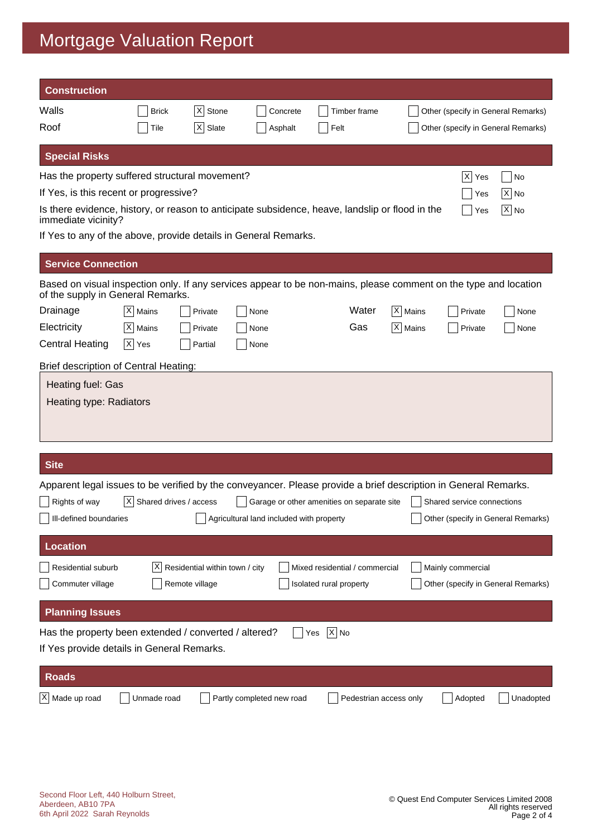| <b>Construction</b>                                                                                                                                   |                                         |                                |                                          |                                            |                      |                                    |                                    |
|-------------------------------------------------------------------------------------------------------------------------------------------------------|-----------------------------------------|--------------------------------|------------------------------------------|--------------------------------------------|----------------------|------------------------------------|------------------------------------|
| Walls                                                                                                                                                 | <b>Brick</b>                            | X <br>Stone                    | Concrete                                 | Timber frame                               |                      | Other (specify in General Remarks) |                                    |
| Roof                                                                                                                                                  | Tile                                    | $ \mathsf{X} $<br>Slate        | Asphalt                                  | Felt                                       |                      | Other (specify in General Remarks) |                                    |
| <b>Special Risks</b>                                                                                                                                  |                                         |                                |                                          |                                            |                      |                                    |                                    |
| Has the property suffered structural movement?                                                                                                        |                                         |                                |                                          |                                            |                      | X <br>Yes                          | No                                 |
| If Yes, is this recent or progressive?                                                                                                                |                                         |                                |                                          |                                            |                      | Yes                                | $ X $ No                           |
| Is there evidence, history, or reason to anticipate subsidence, heave, landslip or flood in the<br>immediate vicinity?                                |                                         |                                |                                          |                                            |                      | Yes                                | $X $ No                            |
| If Yes to any of the above, provide details in General Remarks.                                                                                       |                                         |                                |                                          |                                            |                      |                                    |                                    |
| <b>Service Connection</b>                                                                                                                             |                                         |                                |                                          |                                            |                      |                                    |                                    |
| Based on visual inspection only. If any services appear to be non-mains, please comment on the type and location<br>of the supply in General Remarks. |                                         |                                |                                          |                                            |                      |                                    |                                    |
| Drainage                                                                                                                                              | $ X $ Mains                             | Private                        | None                                     | Water                                      | X   Mains            | Private                            | None                               |
| Electricity                                                                                                                                           | $ X $ Mains                             | Private                        | None                                     | Gas                                        | $ \mathsf{X} $ Mains | Private                            | None                               |
| <b>Central Heating</b>                                                                                                                                | $ X $ Yes                               | Partial                        | None                                     |                                            |                      |                                    |                                    |
| Brief description of Central Heating:                                                                                                                 |                                         |                                |                                          |                                            |                      |                                    |                                    |
| Heating fuel: Gas<br>Heating type: Radiators                                                                                                          |                                         |                                |                                          |                                            |                      |                                    |                                    |
| <b>Site</b>                                                                                                                                           |                                         |                                |                                          |                                            |                      |                                    |                                    |
| Apparent legal issues to be verified by the conveyancer. Please provide a brief description in General Remarks.                                       |                                         |                                |                                          |                                            |                      |                                    |                                    |
| Rights of way                                                                                                                                         | $ \overline{X} $ Shared drives / access |                                |                                          | Garage or other amenities on separate site |                      | Shared service connections         |                                    |
| Ill-defined boundaries                                                                                                                                |                                         |                                | Agricultural land included with property |                                            |                      |                                    | Other (specify in General Remarks) |
| <b>Location</b>                                                                                                                                       |                                         |                                |                                          |                                            |                      |                                    |                                    |
| Residential suburb                                                                                                                                    | ΧI                                      | Residential within town / city |                                          | Mixed residential / commercial             |                      | Mainly commercial                  |                                    |
| Commuter village                                                                                                                                      |                                         | Remote village                 |                                          | Isolated rural property                    |                      |                                    | Other (specify in General Remarks) |
| <b>Planning Issues</b>                                                                                                                                |                                         |                                |                                          |                                            |                      |                                    |                                    |
| Has the property been extended / converted / altered?                                                                                                 |                                         |                                |                                          | $\overline{X}$ No<br>Yes                   |                      |                                    |                                    |
| If Yes provide details in General Remarks.                                                                                                            |                                         |                                |                                          |                                            |                      |                                    |                                    |
| <b>Roads</b>                                                                                                                                          |                                         |                                |                                          |                                            |                      |                                    |                                    |
| $X$ Made up road                                                                                                                                      | Unmade road                             |                                | Partly completed new road                | Pedestrian access only                     |                      | Adopted                            | Unadopted                          |
|                                                                                                                                                       |                                         |                                |                                          |                                            |                      |                                    |                                    |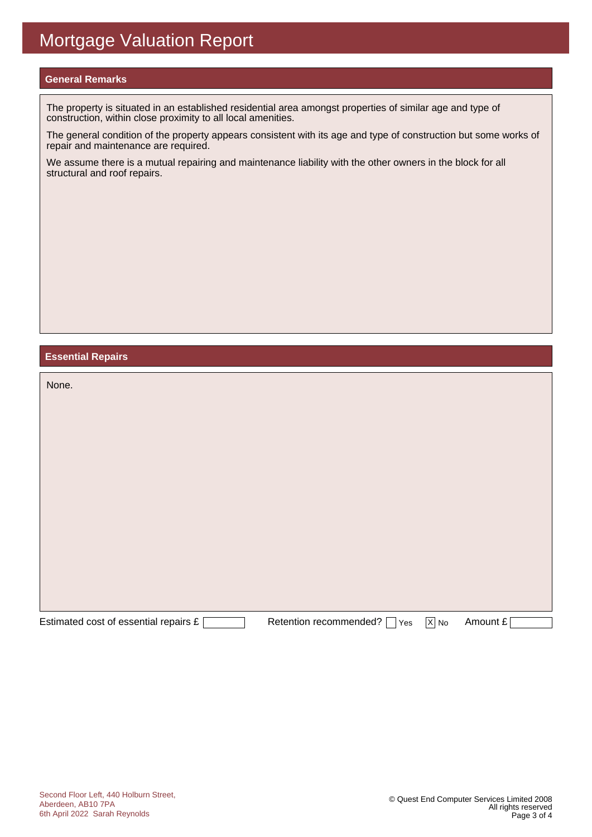#### **General Remarks**

The property is situated in an established residential area amongst properties of similar age and type of construction, within close proximity to all local amenities.

The general condition of the property appears consistent with its age and type of construction but some works of repair and maintenance are required.

We assume there is a mutual repairing and maintenance liability with the other owners in the block for all structural and roof repairs.

#### **Essential Repairs**

| None.                                 |                                                   |                   |          |
|---------------------------------------|---------------------------------------------------|-------------------|----------|
|                                       |                                                   |                   |          |
|                                       |                                                   |                   |          |
|                                       |                                                   |                   |          |
|                                       |                                                   |                   |          |
|                                       |                                                   |                   |          |
|                                       |                                                   |                   |          |
|                                       |                                                   |                   |          |
| Estimated cost of essential repairs £ | Retention recommended? [<br>Yes<br>$\blacksquare$ | $\overline{X}$ No | Amount £ |